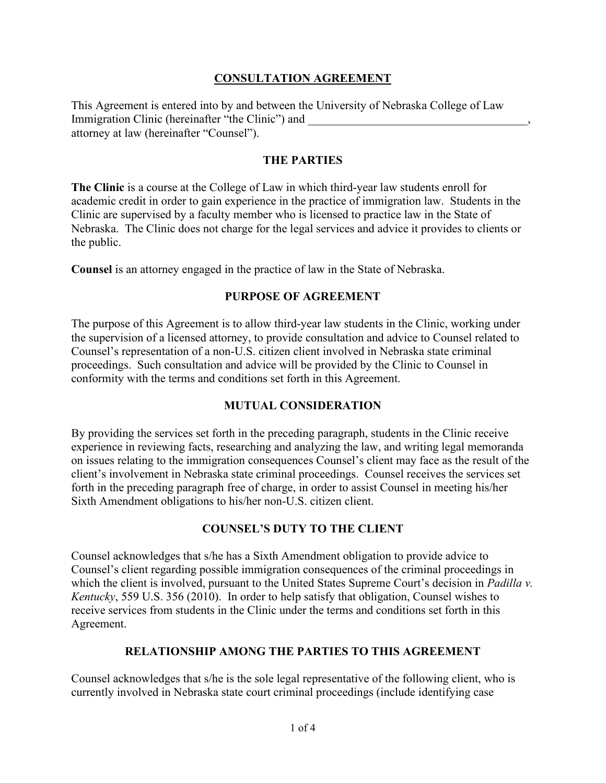## **CONSULTATION AGREEMENT**

This Agreement is entered into by and between the University of Nebraska College of Law Immigration Clinic (hereinafter "the Clinic") and attorney at law (hereinafter "Counsel").

### **THE PARTIES**

**The Clinic** is a course at the College of Law in which third-year law students enroll for academic credit in order to gain experience in the practice of immigration law. Students in the Clinic are supervised by a faculty member who is licensed to practice law in the State of Nebraska. The Clinic does not charge for the legal services and advice it provides to clients or the public.

**Counsel** is an attorney engaged in the practice of law in the State of Nebraska.

## **PURPOSE OF AGREEMENT**

The purpose of this Agreement is to allow third-year law students in the Clinic, working under the supervision of a licensed attorney, to provide consultation and advice to Counsel related to Counsel's representation of a non-U.S. citizen client involved in Nebraska state criminal proceedings. Such consultation and advice will be provided by the Clinic to Counsel in conformity with the terms and conditions set forth in this Agreement.

### **MUTUAL CONSIDERATION**

By providing the services set forth in the preceding paragraph, students in the Clinic receive experience in reviewing facts, researching and analyzing the law, and writing legal memoranda on issues relating to the immigration consequences Counsel's client may face as the result of the client's involvement in Nebraska state criminal proceedings. Counsel receives the services set forth in the preceding paragraph free of charge, in order to assist Counsel in meeting his/her Sixth Amendment obligations to his/her non-U.S. citizen client.

### **COUNSEL'S DUTY TO THE CLIENT**

Counsel acknowledges that s/he has a Sixth Amendment obligation to provide advice to Counsel's client regarding possible immigration consequences of the criminal proceedings in which the client is involved, pursuant to the United States Supreme Court's decision in *Padilla v. Kentucky*, 559 U.S. 356 (2010). In order to help satisfy that obligation, Counsel wishes to receive services from students in the Clinic under the terms and conditions set forth in this Agreement.

### **RELATIONSHIP AMONG THE PARTIES TO THIS AGREEMENT**

Counsel acknowledges that s/he is the sole legal representative of the following client, who is currently involved in Nebraska state court criminal proceedings (include identifying case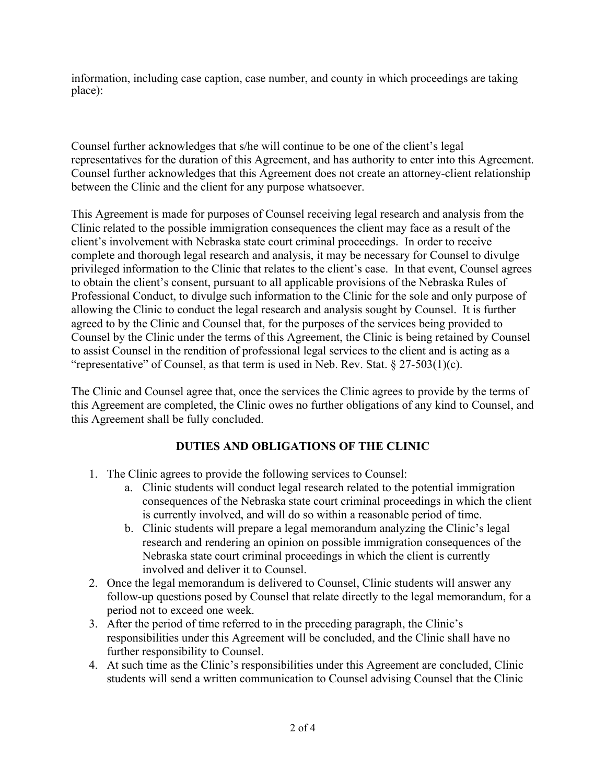information, including case caption, case number, and county in which proceedings are taking place):

Counsel further acknowledges that s/he will continue to be one of the client's legal representatives for the duration of this Agreement, and has authority to enter into this Agreement. Counsel further acknowledges that this Agreement does not create an attorney-client relationship between the Clinic and the client for any purpose whatsoever.

This Agreement is made for purposes of Counsel receiving legal research and analysis from the Clinic related to the possible immigration consequences the client may face as a result of the client's involvement with Nebraska state court criminal proceedings. In order to receive complete and thorough legal research and analysis, it may be necessary for Counsel to divulge privileged information to the Clinic that relates to the client's case. In that event, Counsel agrees to obtain the client's consent, pursuant to all applicable provisions of the Nebraska Rules of Professional Conduct, to divulge such information to the Clinic for the sole and only purpose of allowing the Clinic to conduct the legal research and analysis sought by Counsel. It is further agreed to by the Clinic and Counsel that, for the purposes of the services being provided to Counsel by the Clinic under the terms of this Agreement, the Clinic is being retained by Counsel to assist Counsel in the rendition of professional legal services to the client and is acting as a "representative" of Counsel, as that term is used in Neb. Rev. Stat.  $\S 27-503(1)(c)$ .

The Clinic and Counsel agree that, once the services the Clinic agrees to provide by the terms of this Agreement are completed, the Clinic owes no further obligations of any kind to Counsel, and this Agreement shall be fully concluded.

# **DUTIES AND OBLIGATIONS OF THE CLINIC**

- 1. The Clinic agrees to provide the following services to Counsel:
	- a. Clinic students will conduct legal research related to the potential immigration consequences of the Nebraska state court criminal proceedings in which the client is currently involved, and will do so within a reasonable period of time.
	- b. Clinic students will prepare a legal memorandum analyzing the Clinic's legal research and rendering an opinion on possible immigration consequences of the Nebraska state court criminal proceedings in which the client is currently involved and deliver it to Counsel.
- 2. Once the legal memorandum is delivered to Counsel, Clinic students will answer any follow-up questions posed by Counsel that relate directly to the legal memorandum, for a period not to exceed one week.
- 3. After the period of time referred to in the preceding paragraph, the Clinic's responsibilities under this Agreement will be concluded, and the Clinic shall have no further responsibility to Counsel.
- 4. At such time as the Clinic's responsibilities under this Agreement are concluded, Clinic students will send a written communication to Counsel advising Counsel that the Clinic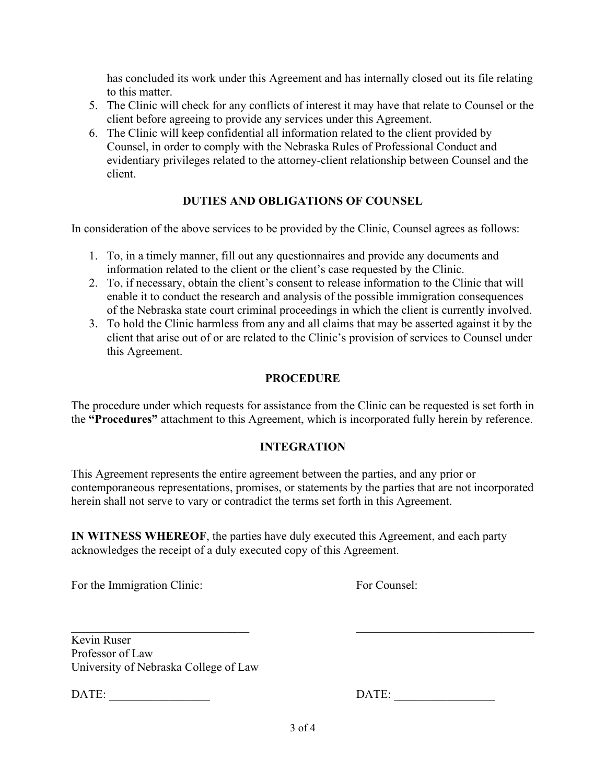has concluded its work under this Agreement and has internally closed out its file relating to this matter.

- 5. The Clinic will check for any conflicts of interest it may have that relate to Counsel or the client before agreeing to provide any services under this Agreement.
- 6. The Clinic will keep confidential all information related to the client provided by Counsel, in order to comply with the Nebraska Rules of Professional Conduct and evidentiary privileges related to the attorney-client relationship between Counsel and the client.

## **DUTIES AND OBLIGATIONS OF COUNSEL**

In consideration of the above services to be provided by the Clinic, Counsel agrees as follows:

- 1. To, in a timely manner, fill out any questionnaires and provide any documents and information related to the client or the client's case requested by the Clinic.
- 2. To, if necessary, obtain the client's consent to release information to the Clinic that will enable it to conduct the research and analysis of the possible immigration consequences of the Nebraska state court criminal proceedings in which the client is currently involved.
- 3. To hold the Clinic harmless from any and all claims that may be asserted against it by the client that arise out of or are related to the Clinic's provision of services to Counsel under this Agreement.

## **PROCEDURE**

The procedure under which requests for assistance from the Clinic can be requested is set forth in the **"Procedures"** attachment to this Agreement, which is incorporated fully herein by reference.

## **INTEGRATION**

This Agreement represents the entire agreement between the parties, and any prior or contemporaneous representations, promises, or statements by the parties that are not incorporated herein shall not serve to vary or contradict the terms set forth in this Agreement.

**IN WITNESS WHEREOF**, the parties have duly executed this Agreement, and each party acknowledges the receipt of a duly executed copy of this Agreement.

For the Immigration Clinic: For Counsel:

Kevin Ruser Professor of Law University of Nebraska College of Law

DATE:

| DATE: |  |  |  |  |  |  |
|-------|--|--|--|--|--|--|
|-------|--|--|--|--|--|--|